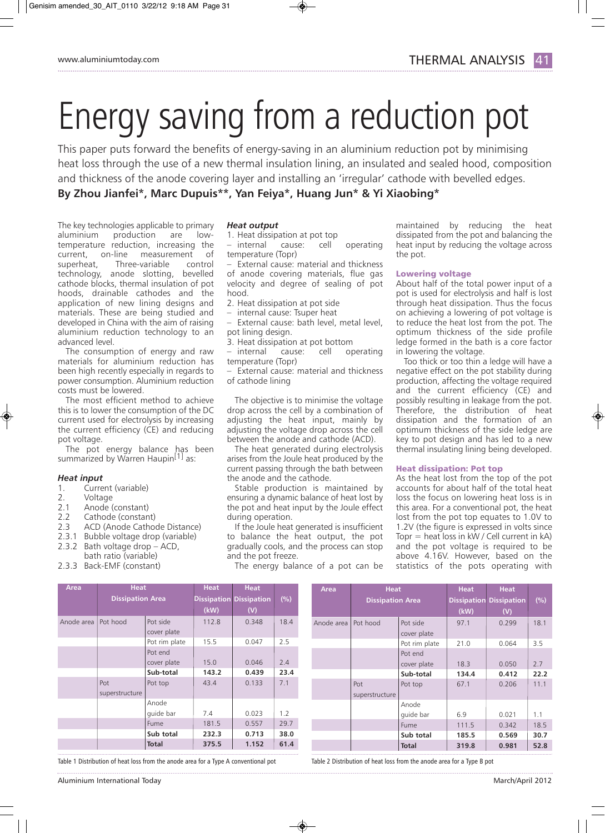# Energy saving from a reduction pot

This paper puts forward the benefits of energy-saving in an aluminium reduction pot by minimising heat loss through the use of a new thermal insulation lining, an insulated and sealed hood, composition and thickness of the anode covering layer and installing an 'irregular' cathode with bevelled edges. **By Zhou Jianfei\*, Marc Dupuis\*\*, Yan Feiya\*, Huang Jun\* & Yi Xiaobing\*** 

The key technologies applicable to primary aluminium production are lowtemperature reduction, increasing the current, on-line measurement of superheat, Three-variable control technology, anode slotting, bevelled cathode blocks, thermal insulation of pot hoods, drainable cathodes and the application of new lining designs and materials. These are being studied and developed in China with the aim of raising aluminium reduction technology to an advanced level.

The consumption of energy and raw materials for aluminium reduction has been high recently especially in regards to power consumption. Aluminium reduction costs must be lowered.

The most efficient method to achieve this is to lower the consumption of the DC current used for electrolysis by increasing the current efficiency (CE) and reducing pot voltage.

The pot energy balance has been summarized by Warren Haupin<sup>[1]</sup> as:

# *Heat input*

- 1. Current (variable)<br>2. Voltage
- 2. Voltage<br>2.1 Anode (
- Anode (constant)
- 2.2 Cathode (constant)
- 2.3 ACD (Anode Cathode Distance)
- 2.3.1 Bubble voltage drop (variable)
- 2.3.2 Bath voltage drop ACD,
- bath ratio (variable)
- 2.3.3 Back-EMF (constant)

### *Heat output*

- 1. Heat dissipation at pot top
- internal cause: cell operating temperature (Topr)

– External cause: material and thickness of anode covering materials, flue gas velocity and degree of sealing of pot hood.

- 2. Heat dissipation at pot side
- internal cause: Tsuper heat
- External cause: bath level, metal level, pot lining design.
- 3. Heat dissipation at pot bottom

– internal cause: cell operating temperature (Topr)

– External cause: material and thickness of cathode lining

The objective is to minimise the voltage drop across the cell by a combination of adjusting the heat input, mainly by adjusting the voltage drop across the cell between the anode and cathode (ACD).

The heat generated during electrolysis arises from the Joule heat produced by the current passing through the bath between the anode and the cathode.

Stable production is maintained by ensuring a dynamic balance of heat lost by the pot and heat input by the Joule effect during operation.

If the Joule heat generated is insufficient to balance the heat output, the pot gradually cools, and the process can stop and the pot freeze.

The energy balance of a pot can be

maintained by reducing the heat dissipated from the pot and balancing the heat input by reducing the voltage across the pot.

# Lowering voltage

About half of the total power input of a pot is used for electrolysis and half is lost through heat dissipation. Thus the focus on achieving a lowering of pot voltage is to reduce the heat lost from the pot. The optimum thickness of the side profile ledge formed in the bath is a core factor in lowering the voltage.

Too thick or too thin a ledge will have a negative effect on the pot stability during production, affecting the voltage required and the current efficiency (CE) and possibly resulting in leakage from the pot. Therefore, the distribution of heat dissipation and the formation of an optimum thickness of the side ledge are key to pot design and has led to a new thermal insulating lining being developed.

# Heat dissipation: Pot top

As the heat lost from the top of the pot accounts for about half of the total heat loss the focus on lowering heat loss is in this area. For a conventional pot, the heat lost from the pot top equates to 1.0V to 1.2V (the figure is expressed in volts since Topr = heat loss in  $kW$  / Cell current in  $kA$ ) and the pot voltage is required to be above 4.16V. However, based on the statistics of the pots operating with

| Area       | <b>Heat</b>             |               | <b>Heat</b> | <b>Heat</b>                    |      |
|------------|-------------------------|---------------|-------------|--------------------------------|------|
|            | <b>Dissipation Area</b> |               |             | <b>Dissipation Dissipation</b> | (%)  |
|            |                         |               | (kW)        | (V)                            |      |
| Anode area | Pot hood                | Pot side      | 112.8       | 0.348                          | 18.4 |
|            |                         | cover plate   |             |                                |      |
|            |                         | Pot rim plate | 15.5        | 0.047                          | 2.5  |
|            |                         | Pot end       |             |                                |      |
|            |                         | cover plate   | 15.0        | 0.046                          | 2.4  |
|            |                         | Sub-total     | 143.2       | 0.439                          | 23.4 |
|            | Pot                     | Pot top       | 43.4        | 0.133                          | 7.1  |
|            | superstructure          |               |             |                                |      |
|            |                         | Anode         |             |                                |      |
|            |                         | quide bar     | 7.4         | 0.023                          | 1.2  |
|            |                         | Fume          | 181.5       | 0.557                          | 29.7 |
|            |                         | Sub total     | 232.3       | 0.713                          | 38.0 |
|            |                         | <b>Total</b>  | 375.5       | 1.152                          | 61.4 |

Table 1 Distribution of heat loss from the anode area for a Type A conventional pot Table 2 Distribution of heat loss from the anode area for a Type B pot 

Anode area Pot hood Pot side 97.1 0.299 18.1 cover plate Pot rim plate 21.0 0.064 3.5 Pot end cover plate | 18.3 | 0.050 | 2.7 **Sub-total 134.4 0.412 22.2** Pot Pot top 67.1 0.206 11.1 superstructure Anode quide bar  $\begin{array}{|c|c|c|c|c|} \hline 6.9 & \quad & 0.021 & 1.1 \ \hline \end{array}$ Fume | 111.5 | 0.342 | 18.5 **Sub total 185.5 0.569 30.7 Total 319.8 0.981 52.8 Dissipation Area Dissipation Dissipation (%) (kW) (V)**

**Area Heat Heat Heat**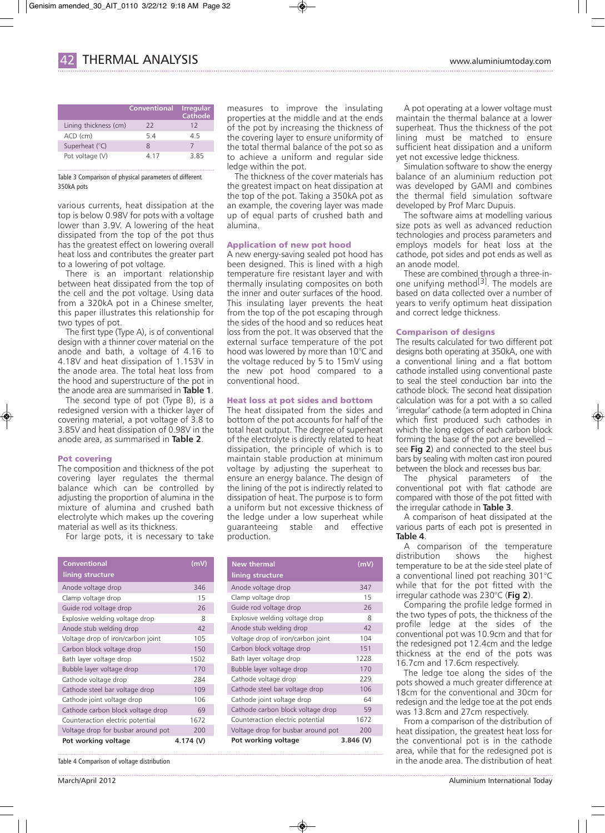|                       | Conventional | <b>Irregular</b><br>Cathode |
|-----------------------|--------------|-----------------------------|
| Lining thickness (cm) | 22           | 12                          |
| $ACD$ (cm)            | 54           | 45                          |
| Superheat (°C)        | Ջ            |                             |
| Pot voltage (V)       | 4 17         | 385                         |

## Table 3 Comparison of physical parameters of different 350kA pots

various currents, heat dissipation at the top is below 0.98V for pots with a voltage lower than 3.9V. A lowering of the heat dissipated from the top of the pot thus has the greatest effect on lowering overall heat loss and contributes the greater part to a lowering of pot voltage.

There is an important relationship between heat dissipated from the top of the cell and the pot voltage. Using data from a 320kA pot in a Chinese smelter, this paper illustrates this relationship for two types of pot.

The first type (Type A), is of conventional design with a thinner cover material on the anode and bath, a voltage of 4.16 to 4.18V and heat dissipation of 1.153V in the anode area. The total heat loss from the hood and superstructure of the pot in the anode area are summarised in **Table 1**.

The second type of pot (Type B), is a redesigned version with a thicker layer of covering material, a pot voltage of 3.8 to 3.85V and heat dissipation of 0.98V in the anode area, as summarised in **Table 2**.

## Pot covering

The composition and thickness of the pot covering layer regulates the thermal balance which can be controlled by adjusting the proportion of alumina in the mixture of alumina and crushed bath electrolyte which makes up the covering material as well as its thickness.

For large pots, it is necessary to take

| Conventional                       | (mV)     |
|------------------------------------|----------|
| lining structure                   |          |
| Anode voltage drop                 | 346      |
| Clamp voltage drop                 | 15       |
| Guide rod voltage drop             | 26       |
| Explosive welding voltage drop     | 8        |
| Anode stub welding drop            | 42       |
| Voltage drop of iron/carbon joint  | 105      |
| Carbon block voltage drop          | 150      |
| Bath layer voltage drop            | 1502     |
| Bubble layer voltage drop          | 170      |
| Cathode voltage drop               | 284      |
| Cathode steel bar voltage drop     | 109      |
| Cathode joint voltage drop         | 106      |
| Cathode carbon block voltage drop  | 69       |
| Counteraction electric potential   | 1672     |
| Voltage drop for busbar around pot | 200      |
| Pot working voltage                | 4.174(V) |

Table 4 Comparison of voltage distribution

measures to improve the insulating properties at the middle and at the ends of the pot by increasing the thickness of the covering layer to ensure uniformity of the total thermal balance of the pot so as to achieve a uniform and regular side ledge within the pot.

The thickness of the cover materials has the greatest impact on heat dissipation at the top of the pot. Taking a 350kA pot as an example, the covering layer was made up of equal parts of crushed bath and alumina.

# Application of new pot hood

A new energy-saving sealed pot hood has been designed. This is lined with a high temperature fire resistant layer and with thermally insulating composites on both the inner and outer surfaces of the hood. This insulating layer prevents the heat from the top of the pot escaping through the sides of the hood and so reduces heat loss from the pot. It was observed that the external surface temperature of the pot hood was lowered by more than 10°C and the voltage reduced by 5 to 15mV using the new pot hood compared to a conventional hood.

# Heat loss at pot sides and bottom

The heat dissipated from the sides and bottom of the pot accounts for half of the total heat output. The degree of superheat of the electrolyte is directly related to heat dissipation, the principle of which is to maintain stable production at minimum voltage by adjusting the superheat to ensure an energy balance. The design of the lining of the pot is indirectly related to dissipation of heat. The purpose is to form a uniform but not excessive thickness of the ledge under a low superheat while guaranteeing stable and effective production.

| <b>New thermal</b>                 | (mV       |
|------------------------------------|-----------|
| lining structure                   |           |
| Anode voltage drop                 | 347       |
| Clamp voltage drop                 | 15        |
| Guide rod voltage drop             | 26        |
| Explosive welding voltage drop     | 8         |
| Anode stub welding drop            | 42        |
| Voltage drop of iron/carbon joint  | 104       |
| Carbon block voltage drop          | 151       |
| Bath layer voltage drop            | 1228      |
| Bubble layer voltage drop          | 170       |
| Cathode voltage drop               | 229       |
| Cathode steel bar voltage drop     | 106       |
| Cathode joint voltage drop         | 64        |
| Cathode carbon block voltage drop  | 59        |
| Counteraction electric potential   | 1672      |
| Voltage drop for busbar around pot | 200       |
| Pot working voltage                | 3.846 (V) |

A pot operating at a lower voltage must maintain the thermal balance at a lower superheat. Thus the thickness of the pot lining must be matched to ensure sufficient heat dissipation and a uniform yet not excessive ledge thickness.

Simulation software to show the energy balance of an aluminium reduction pot was developed by GAMI and combines the thermal field simulation software developed by Prof Marc Dupuis.

The software aims at modelling various size pots as well as advanced reduction technologies and process parameters and employs models for heat loss at the cathode, pot sides and pot ends as well as an anode model.

These are combined through a three-inone unifying method<sup>[3]</sup>. The models are based on data collected over a number of years to verify optimum heat dissipation and correct ledge thickness.

# Comparison of designs

The results calculated for two different pot designs both operating at 350kA, one with a conventional lining and a flat bottom cathode installed using conventional paste to seal the steel conduction bar into the cathode block. The second heat dissipation calculation was for a pot with a so called 'irregular' cathode (a term adopted in China which first produced such cathodes in which the long edges of each carbon block forming the base of the pot are bevelled – see **Fig 2**) and connected to the steel bus bars by sealing with molten cast iron poured between the block and recesses bus bar.

The physical parameters of the conventional pot with flat cathode are compared with those of the pot fitted with the irregular cathode in **Table 3**.

A comparison of heat dissipated at the various parts of each pot is presented in **Table 4**.

A comparison of the temperature distribution shows the highest temperature to be at the side steel plate of a conventional lined pot reaching 301°C while that for the pot fitted with the irregular cathode was 230°C (**Fig 2**).

Comparing the profile ledge formed in the two types of pots, the thickness of the profile ledge at the sides of the conventional pot was 10.9cm and that for the redesigned pot 12.4cm and the ledge thickness at the end of the pots was 16.7cm and 17.6cm respectively.

The ledge toe along the sides of the pots showed a much greater difference at 18cm for the conventional and 30cm for redesign and the ledge toe at the pot ends was 13.8cm and 27cm respectively.

From a comparison of the distribution of heat dissipation, the greatest heat loss for the conventional pot is in the cathode area, while that for the redesigned pot is in the anode area. The distribution of heat